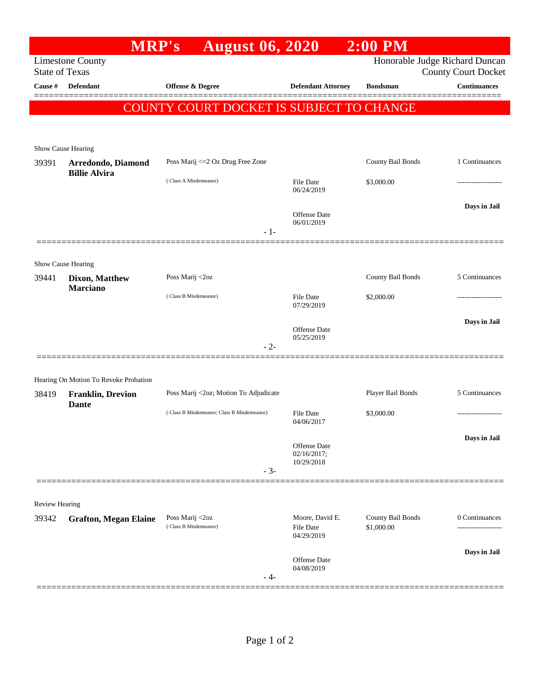| <b>MRP's</b>                                                                                                     | <b>August 06, 2020</b>                                     |                                           | $2:00$ PM                       |                                                                       |  |  |  |
|------------------------------------------------------------------------------------------------------------------|------------------------------------------------------------|-------------------------------------------|---------------------------------|-----------------------------------------------------------------------|--|--|--|
| Honorable Judge Richard Duncan<br><b>Limestone County</b><br><b>State of Texas</b><br><b>County Court Docket</b> |                                                            |                                           |                                 |                                                                       |  |  |  |
| <b>Defendant</b>                                                                                                 | <b>Offense &amp; Degree</b>                                |                                           | <b>Bondsman</b>                 | <b>Continuances</b>                                                   |  |  |  |
|                                                                                                                  |                                                            |                                           |                                 |                                                                       |  |  |  |
|                                                                                                                  |                                                            |                                           |                                 |                                                                       |  |  |  |
|                                                                                                                  |                                                            |                                           |                                 |                                                                       |  |  |  |
| Arredondo, Diamond                                                                                               | Poss Marij <= 2 Oz Drug Free Zone                          |                                           | County Bail Bonds               | 1 Continuances                                                        |  |  |  |
|                                                                                                                  | (Class A Misdemeanor)                                      | <b>File Date</b><br>06/24/2019            | \$3,000.00                      |                                                                       |  |  |  |
|                                                                                                                  |                                                            | Offense Date<br>06/01/2019                |                                 | Days in Jail                                                          |  |  |  |
|                                                                                                                  |                                                            |                                           |                                 |                                                                       |  |  |  |
| Show Cause Hearing                                                                                               |                                                            |                                           |                                 |                                                                       |  |  |  |
| Dixon, Matthew<br><b>Marciano</b>                                                                                | Poss Marij <2oz                                            |                                           | County Bail Bonds               | 5 Continuances                                                        |  |  |  |
|                                                                                                                  | (Class B Misdemeanor)                                      | <b>File Date</b><br>07/29/2019            | \$2,000.00                      |                                                                       |  |  |  |
|                                                                                                                  |                                                            | Offense Date                              |                                 | Days in Jail                                                          |  |  |  |
|                                                                                                                  | $-2-$                                                      |                                           |                                 |                                                                       |  |  |  |
| Hearing On Motion To Revoke Probation                                                                            |                                                            |                                           |                                 |                                                                       |  |  |  |
| <b>Franklin, Drevion</b>                                                                                         | Poss Marij <2oz; Motion To Adjudicate                      |                                           | Player Bail Bonds               | 5 Continuances                                                        |  |  |  |
|                                                                                                                  | (Class B Misdemeanor; Class B Misdemeanor)                 | <b>File Date</b><br>04/06/2017            | \$3,000.00                      |                                                                       |  |  |  |
|                                                                                                                  |                                                            | Offense Date<br>02/16/2017;<br>10/29/2018 |                                 | Days in Jail                                                          |  |  |  |
|                                                                                                                  |                                                            |                                           |                                 |                                                                       |  |  |  |
| <b>Review Hearing</b>                                                                                            |                                                            |                                           |                                 |                                                                       |  |  |  |
| <b>Grafton, Megan Elaine</b>                                                                                     | Poss Marij <2oz<br>(Class B Misdemeanor)                   | Moore, David E.<br>File Date              | County Bail Bonds<br>\$1,000.00 | 0 Continuances<br>-----------------                                   |  |  |  |
|                                                                                                                  |                                                            | Offense Date<br>04/08/2019                |                                 | Days in Jail                                                          |  |  |  |
|                                                                                                                  | Show Cause Hearing<br><b>Billie Alvira</b><br><b>Dante</b> | $-1-$<br>$-3-$<br>- 4-                    | 05/25/2019<br>04/29/2019        | <b>Defendant Attorney</b><br>COUNTY COURT DOCKET IS SUBJECT TO CHANGE |  |  |  |